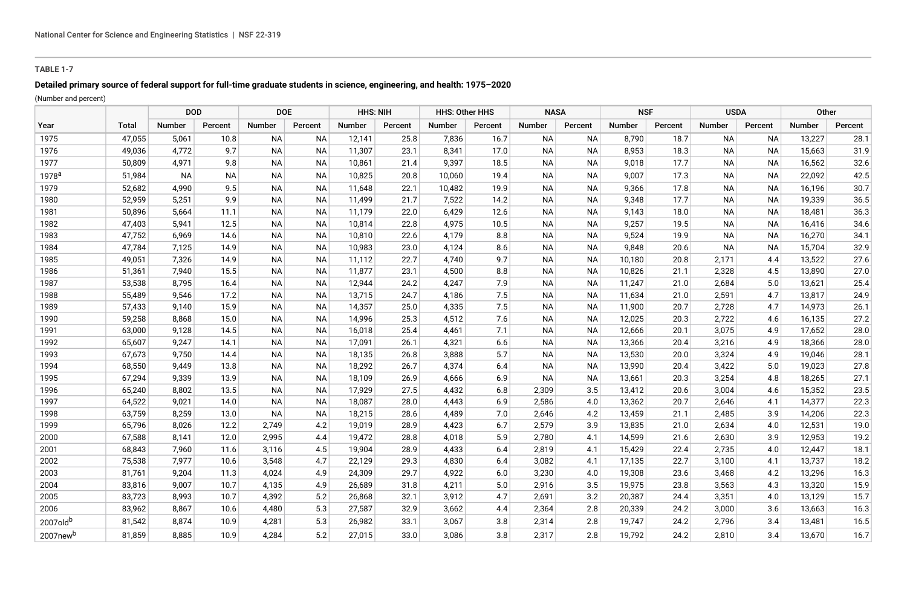## **TABLE 1-7**

# **Detailed primary source of federal support for full-time graduate students in science, engineering, and health: 1975–2020**

(Number and percent)

|                      |              | <b>DOD</b>    |           | <b>DOE</b> |           | <b>HHS: NIH</b> |         | <b>HHS: Other HHS</b> |         | <b>NASA</b>   |           | <b>NSF</b> |         | <b>USDA</b>   |           | Other         |         |
|----------------------|--------------|---------------|-----------|------------|-----------|-----------------|---------|-----------------------|---------|---------------|-----------|------------|---------|---------------|-----------|---------------|---------|
| Year                 | <b>Total</b> | <b>Number</b> | Percent   | Number     | Percent   | <b>Number</b>   | Percent | <b>Number</b>         | Percent | <b>Number</b> | Percent   | Number     | Percent | <b>Number</b> | Percent   | <b>Number</b> | Percent |
| 1975                 | 47,055       | 5,061         | 10.8      | <b>NA</b>  | <b>NA</b> | 12,141          | 25.8    | 7,836                 | 16.7    | <b>NA</b>     | <b>NA</b> | 8,790      | 18.7    | <b>NA</b>     | <b>NA</b> | 13,227        | 28.1    |
| 1976                 | 49.036       | 4.772         | 9.7       | <b>NA</b>  | <b>NA</b> | 11,307          | 23.1    | 8.341                 | 17.0    | <b>NA</b>     | <b>NA</b> | 8,953      | 18.3    | <b>NA</b>     | <b>NA</b> | 15,663        | 31.9    |
| 1977                 | 50,809       | 4,971         | 9.8       | NA         | ΝA        | 10,861          | 21.4    | 9,397                 | 18.5    | <b>NA</b>     | ΝA        | 9,018      | 17.7    | <b>NA</b>     | <b>NA</b> | 16,562        | 32.6    |
| 1978 <sup>a</sup>    | 51,984       | <b>NA</b>     | <b>NA</b> | <b>NA</b>  | <b>NA</b> | 10,825          | 20.8    | 10,060                | 19.4    | <b>NA</b>     | <b>NA</b> | 9,007      | 17.3    | <b>NA</b>     | <b>NA</b> | 22,092        | 42.5    |
| 1979                 | 52,682       | 4,990         | 9.5       | <b>NA</b>  | <b>NA</b> | 11,648          | 22.1    | 10,482                | 19.9    | <b>NA</b>     | <b>NA</b> | 9,366      | 17.8    | NA.           | <b>NA</b> | 16,196        | 30.7    |
| 1980                 | 52,959       | 5,251         | 9.9       | <b>NA</b>  | <b>NA</b> | 11,499          | 21.7    | 7,522                 | 14.2    | <b>NA</b>     | <b>NA</b> | 9,348      | 17.7    | NA.           | <b>NA</b> | 19,339        | 36.5    |
| 1981                 | 50,896       | 5,664         | 11.1      | <b>NA</b>  | <b>NA</b> | 11,179          | 22.0    | 6,429                 | 12.6    | <b>NA</b>     | <b>NA</b> | 9,143      | 18.0    | NA.           | <b>NA</b> | 18,481        | 36.3    |
| 1982                 | 47,403       | 5,941         | 12.5      | <b>NA</b>  | <b>NA</b> | 10,814          | 22.8    | 4,975                 | 10.5    | <b>NA</b>     | <b>NA</b> | 9,257      | 19.5    | NA.           | <b>NA</b> | 16,416        | 34.6    |
| 1983                 | 47,752       | 6,969         | 14.6      | <b>NA</b>  | <b>NA</b> | 10,810          | 22.6    | 4,179                 | 8.8     | <b>NA</b>     | <b>NA</b> | 9,524      | 19.9    | <b>NA</b>     | <b>NA</b> | 16,270        | 34.1    |
| 1984                 | 47,784       | 7,125         | 14.9      | <b>NA</b>  | <b>NA</b> | 10,983          | 23.0    | 4,124                 | 8.6     | <b>NA</b>     | <b>NA</b> | 9,848      | 20.6    | <b>NA</b>     | <b>NA</b> | 15,704        | 32.9    |
| 1985                 | 49,051       | 7,326         | 14.9      | <b>NA</b>  | ΝA        | 11,112          | 22.7    | 4,740                 | 9.7     | <b>NA</b>     | <b>NA</b> | 10,180     | 20.8    | 2,171         | 4.4       | 13,522        | 27.6    |
| 1986                 | 51,361       | 7,940         | 15.5      | <b>NA</b>  | ΝA        | 11,877          | 23.1    | 4,500                 | 8.8     | <b>NA</b>     | <b>NA</b> | 10,826     | 21.1    | 2,328         | 4.5       | 13,890        | 27.0    |
| 1987                 | 53,538       | 8,795         | 16.4      | <b>NA</b>  | <b>NA</b> | 12,944          | 24.2    | 4,247                 | 7.9     | ΝA            | ΝA        | 11,247     | 21.0    | 2,684         | 5.0       | 13,621        | 25.4    |
| 1988                 | 55,489       | 9,546         | 17.2      | <b>NA</b>  | <b>NA</b> | 13,715          | 24.7    | 4,186                 | 7.5     | <b>NA</b>     | NА        | 11,634     | 21.0    | 2,591         | 4.7       | 13,817        | 24.9    |
| 1989                 | 57,433       | 9,140         | 15.9      | <b>NA</b>  | ΝA        | 14,357          | 25.0    | 4,335                 | 7.5     | ΝA            | ΝA        | 11,900     | 20.7    | 2,728         | 4.7       | 14,973        | 26.1    |
| 1990                 | 59,258       | 8,868         | 15.0      | ΝA         | ΝA        | 14,996          | 25.3    | 4,512                 | 7.6     | <b>NA</b>     | ΝA        | 12,025     | 20.3    | 2,722         | 4.6       | 16,135        | 27.2    |
| 1991                 | 63,000       | 9.128         | 14.5      | <b>NA</b>  | <b>NA</b> | 16,018          | 25.4    | 4,461                 | 7.1     | <b>NA</b>     | <b>NA</b> | 12,666     | 20.1    | 3,075         | 4.9       | 17,652        | 28.0    |
| 1992                 | 65,607       | 9.247         | 14.1      | <b>NA</b>  | <b>NA</b> | 17,091          | 26.1    | 4,321                 | 6.6     | <b>NA</b>     | <b>NA</b> | 13,366     | 20.4    | 3,216         | 4.9       | 18,366        | 28.0    |
| 1993                 | 67,673       | 9.750         | 14.4      | <b>NA</b>  | <b>NA</b> | 18,135          | 26.8    | 3,888                 | 5.7     | <b>NA</b>     | <b>NA</b> | 13,530     | 20.0    | 3,324         | 4.9       | 19,046        | 28.1    |
| 1994                 | 68,550       | 9.449         | 13.8      | <b>NA</b>  | <b>NA</b> | 18,292          | 26.7    | 4,374                 | 6.4     | <b>NA</b>     | <b>NA</b> | 13,990     | 20.4    | 3,422         | 5.0       | 19,023        | 27.8    |
| 1995                 | 67,294       | 9,339         | 13.9      | <b>NA</b>  | <b>NA</b> | 18,109          | 26.9    | 4,666                 | 6.9     | <b>NA</b>     | <b>NA</b> | 13,661     | 20.3    | 3,254         | 4.8       | 18,265        | 27.1    |
| 1996                 | 65,240       | 8,802         | 13.5      | <b>NA</b>  | <b>NA</b> | 17,929          | 27.5    | 4,432                 | 6.8     | 2,309         | 3.5       | 13,412     | 20.6    | 3,004         | 4.6       | 15,352        | 23.5    |
| 1997                 | 64,522       | 9,021         | 14.0      | <b>NA</b>  | <b>NA</b> | 18,087          | 28.0    | 4,443                 | 6.9     | 2,586         | 4.0       | 13,362     | 20.7    | 2,646         | 4.1       | 14,377        | 22.3    |
| 1998                 | 63,759       | 8,259         | 13.0      | <b>NA</b>  | ΝA        | 18,215          | 28.6    | 4,489                 | 7.0     | 2,646         | 4.2       | 13,459     | 21.1    | 2,485         | 3.9       | 14,206        | 22.3    |
| 1999                 | 65,796       | 8,026         | 12.2      | 2,749      | 4.2       | 19,019          | 28.9    | 4,423                 | 6.7     | 2,579         | 3.9       | 13,835     | 21.0    | 2,634         | 4.0       | 12,531        | 19.0    |
| 2000                 | 67,588       | 8,141         | 12.0      | 2,995      | 4.4       | 19,472          | 28.8    | 4,018                 | 5.9     | 2,780         | 4.1       | 14,599     | 21.6    | 2,630         | 3.9       | 12,953        | 19.2    |
| 2001                 | 68,843       | 7,960         | 11.6      | 3,116      | 4.5       | 19,904          | 28.9    | 4,433                 | 6.4     | 2,819         | 4.1       | 15,429     | 22.4    | 2,735         | 4.0       | 12,447        | 18.1    |
| 2002                 | 75,538       | 7,977         | 10.6      | 3,548      | 4.7       | 22,129          | 29.3    | 4,830                 | 6.4     | 3,082         | 4.1       | 17,135     | 22.7    | 3,100         | 4.1       | 13,737        | 18.2    |
| 2003                 | 81,761       | 9,204         | 11.3      | 4,024      | 4.9       | 24,309          | 29.7    | 4,922                 | 6.0     | 3,230         | 4.0       | 19,308     | 23.6    | 3,468         | 4.2       | 13,296        | 16.3    |
| 2004                 | 83,816       | 9,007         | 10.7      | 4,135      | 4.9       | 26,689          | 31.8    | 4,211                 | 5.0     | 2,916         | 3.5       | 19,975     | 23.8    | 3,563         | 4.3       | 13,320        | 15.9    |
| 2005                 | 83,723       | 8,993         | 10.7      | 4,392      | 5.2       | 26,868          | 32.1    | 3,912                 | 4.7     | 2,691         | 3.2       | 20,387     | 24.4    | 3,351         | 4.0       | 13,129        | 15.7    |
| 2006                 | 83,962       | 8,867         | 10.6      | 4,480      | 5.3       | 27,587          | 32.9    | 3,662                 | 4.4     | 2,364         | 2.8       | 20,339     | 24.2    | 3,000         | 3.6       | 13,663        | 16.3    |
| 2007oldb             | 81,542       | 8,874         | 10.9      | 4,281      | 5.3       | 26,982          | 33.1    | 3,067                 | 3.8     | 2,314         | 2.8       | 19,747     | 24.2    | 2,796         | 3.4       | 13,481        | 16.5    |
| 2007new <sup>b</sup> | 81,859       | 8,885         | 10.9      | 4,284      | 5.2       | 27,015          | 33.0    | 3,086                 | 3.8     | 2,317         | 2.8       | 19,792     | 24.2    | 2,810         | 3.4       | 13,670        | 16.7    |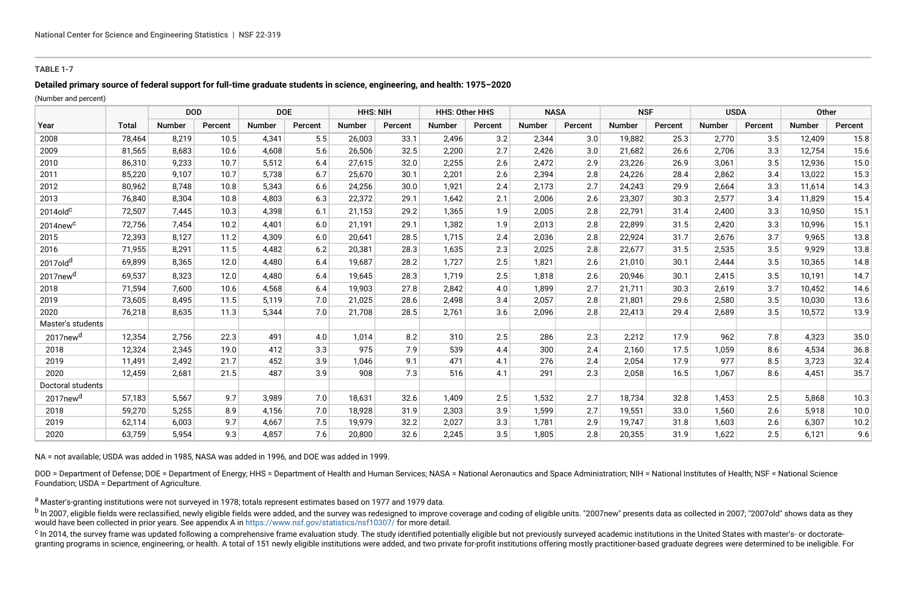### **TABLE 1-7**

### **Detailed primary source of federal support for full-time graduate students in science, engineering, and health: 1975–2020**

(Number and percent)

|                         |              | <b>DOD</b> |         | <b>DOE</b>    |         | <b>HHS: NIH</b> |         | <b>HHS: Other HHS</b> |         | <b>NASA</b> |         | <b>NSF</b>    |         | <b>USDA</b>   |         | Other         |         |
|-------------------------|--------------|------------|---------|---------------|---------|-----------------|---------|-----------------------|---------|-------------|---------|---------------|---------|---------------|---------|---------------|---------|
| Year                    | <b>Total</b> | Number     | Percent | <b>Number</b> | Percent | <b>Number</b>   | Percent | <b>Number</b>         | Percent | Number      | Percent | <b>Number</b> | Percent | <b>Number</b> | Percent | <b>Number</b> | Percent |
| 2008                    | 78.464       | 8.219      | 10.5    | 4.341         | 5.5     | 26.003          | 33.1    | 2.496                 | 3.2     | 2.344       | 3.0     | 19.882        | 25.3    | 2.770         | 3.5     | 12.409        | 15.8    |
| 2009                    | 81,565       | 8,683      | 10.6    | 4,608         | 5.6     | 26,506          | 32.5    | 2,200                 | 2.7     | 2,426       | 3.0     | 21,682        | 26.6    | 2,706         | 3.3     | 12,754        | 15.6    |
| 2010                    | 86,310       | 9.233      | 10.7    | 5,512         | 6.4     | 27.615          | 32.0    | 2,255                 | 2.6     | 2.472       | 2.9     | 23,226        | 26.9    | 3.061         | 3.5     | 12,936        | 15.0    |
| 2011                    | 85,220       | 9.107      | 10.7    | 5.738         | 6.7     | 25,670          | 30.1    | 2,201                 | 2.6     | 2.394       | 2.8     | 24,226        | 28.4    | 2.862         | 3.4     | 13,022        | 15.3    |
| 2012                    | 80,962       | 8.748      | 10.8    | 5,343         | 6.6     | 24,256          | 30.0    | 1,921                 | 2.4     | 2,173       | 2.7     | 24,243        | 29.9    | 2,664         | 3.3     | 11,614        | 14.3    |
| 2013                    | 76.840       | 8.304      | 10.8    | 4.803         | 6.3     | 22,372          | 29.1    | 1.642                 | 2.1     | 2,006       | 2.6     | 23,307        | 30.3    | 2.577         | 3.4     | 11,829        | 15.4    |
| $2014$ old $c$          | 72,507       | 7,445      | 10.3    | 4,398         | 6.1     | 21,153          | 29.2    | 1,365                 | 1.9     | 2,005       | 2.8     | 22,791        | 31.4    | 2,400         | 3.3     | 10,950        | 15.1    |
| $2014$ new <sup>c</sup> | 72.756       | 7.454      | 10.2    | 4.401         | 6.0     | 21.191          | 29.1    | 1,382                 | 1.9     | 2.013       | 2.8     | 22,899        | 31.5    | 2.420         | 3.3     | 10.996        | 15.1    |
| 2015                    | 72,393       | 8,127      | 11.2    | 4.309         | 6.0     | 20,641          | 28.5    | 1.715                 | 2.4     | 2.036       | 2.8     | 22,924        | 31.7    | 2.676         | 3.7     | 9.965         | 13.8    |
| 2016                    | 71,955       | 8.291      | 11.5    | 4.482         | 6.2     | 20,381          | 28.3    | 1,635                 | 2.3     | 2,025       | 2.8     | 22,677        | 31.5    | 2,535         | 3.5     | 9.929         | 13.8    |
| 2017old <sup>d</sup>    | 69,899       | 8,365      | 12.0    | 4,480         | 6.4     | 19,687          | 28.2    | 1,727                 | 2.5     | 1,821       | 2.6     | 21,010        | 30.1    | 2,444         | 3.5     | 10,365        | 14.8    |
| 2017new <sup>d</sup>    | 69,537       | 8,323      | 12.0    | 4.480         | 6.4     | 19,645          | 28.3    | 1,719                 | 2.5     | 1.818       | 2.6     | 20,946        | 30.1    | 2.415         | 3.5     | 10,191        | 14.7    |
| 2018                    | 71,594       | 7.600      | 10.6    | 4.568         | 6.4     | 19.903          | 27.8    | 2.842                 | 4.0     | 1.899       | 2.7     | 21,711        | 30.3    | 2.619         | 3.7     | 10.452        | 14.6    |
| 2019                    | 73.605       | 8.495      | 11.5    | 5.119         | 7.0     | 21.025          | 28.6    | 2.498                 | 3.4     | 2.057       | 2.8     | 21.801        | 29.6    | 2.580         | 3.5     | 10.030        | 13.6    |
| 2020                    | 76,218       | 8,635      | 11.3    | 5,344         | 7.0     | 21,708          | 28.5    | 2,761                 | 3.6     | 2,096       | 2.8     | 22,413        | 29.4    | 2,689         | 3.5     | 10,572        | 13.9    |
| Master's students       |              |            |         |               |         |                 |         |                       |         |             |         |               |         |               |         |               |         |
| 2017new <sup>d</sup>    | 12,354       | 2,756      | 22.3    | 491           | 4.0     | 1,014           | 8.2     | 310                   | 2.5     | 286         | 2.3     | 2,212         | 17.9    | 962           | 7.8     | 4,323         | 35.0    |
| 2018                    | 12,324       | 2,345      | 19.0    | 412           | 3.3     | 975             | 7.9     | 539                   | 4.4     | 300         | 2.4     | 2.160         | 17.5    | 1.059         | 8.6     | 4.534         | 36.8    |
| 2019                    | 11,491       | 2,492      | 21.7    | 452           | 3.9     | 1,046           | 9.1     | 471                   | 4.1     | 276         | 2.4     | 2,054         | 17.9    | 977           | 8.5     | 3,723         | 32.4    |
| 2020                    | 12.459       | 2,681      | 21.5    | 487           | 3.9     | 908             | 7.3     | 516                   | 4.1     | 291         | 2.3     | 2,058         | 16.5    | 1,067         | 8.6     | 4,451         | 35.7    |
| Doctoral students       |              |            |         |               |         |                 |         |                       |         |             |         |               |         |               |         |               |         |
| 2017new <sup>d</sup>    | 57,183       | 5,567      | 9.7     | 3.989         | 7.0     | 18,631          | 32.6    | 1,409                 | 2.5     | 1,532       | 2.7     | 18,734        | 32.8    | 1,453         | 2.5     | 5,868         | 10.3    |
| 2018                    | 59,270       | 5,255      | 8.9     | 4,156         | 7.0     | 18,928          | 31.9    | 2,303                 | 3.9     | 1.599       | 2.7     | 19,551        | 33.0    | 1.560         | 2.6     | 5.918         | 10.0    |
| 2019                    | 62,114       | 6,003      | 9.7     | 4,667         | 7.5     | 19,979          | 32.2    | 2,027                 | 3.3     | 1,781       | 2.9     | 19,747        | 31.8    | 1,603         | 2.6     | 6,307         | 10.2    |
| 2020                    | 63,759       | 5,954      | 9.3     | 4,857         | 7.6     | 20,800          | 32.6    | 2,245                 | 3.5     | 1,805       | 2.8     | 20,355        | 31.9    | 1,622         | 2.5     | 6,121         | 9.6     |

NA = not available; USDA was added in 1985, NASA was added in 1996, and DOE was added in 1999.

DOD = Department of Defense; DOE = Department of Energy; HHS = Department of Health and Human Services; NASA = National Aeronautics and Space Administration; NIH = National Institutes of Health; NSF = National Science Foundation; USDA = Department of Agriculture.

a Master's-granting institutions were not surveyed in 1978; totals represent estimates based on 1977 and 1979 data.

<sup>b</sup> In 2007, eligible fields were reclassified, newly eligible fields were added, and the survey was redesigned to improve coverage and coding of eligible units. "2007new" presents data as collected in 2007; "2007old" show would have been collected in prior years. See appendix A in<https://www.nsf.gov/statistics/nsf10307/>for more detail.

<sup>c</sup> In 2014, the survey frame was updated following a comprehensive frame evaluation study. The study identified potentially eligible but not previously surveyed academic institutions in the United States with master's- or granting programs in science, engineering, or health. A total of 151 newly eligible institutions were added, and two private for-profit institutions offering mostly practitioner-based graduate degrees were determined to be